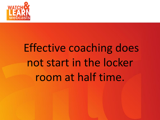

# Effective coaching does not start in the locker room at half time.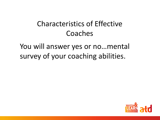#### Characteristics of Effective Coaches

You will answer yes or no…mental survey of your coaching abilities.

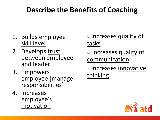### **Describe the Benefits of Coaching**

- 1. Builds employee skill level
- 2. Develops trust between employee and leader
- 3. Empowers employee [manage responsibilities]
- 4. Increases employee's motivation

5. Increases quality of tasks

<sup>6</sup>. Increases quality of communication

7. Increases innovative thinking

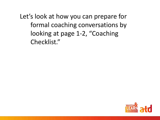Let's look at how you can prepare for formal coaching conversations by looking at page 1-2, "Coaching Checklist."

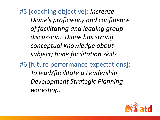#5 [coaching objective]: *Increase Diane's proficiency and confidence of facilitating and leading group discussion. Diane has strong conceptual knowledge about subject; hone facilitation skills .*

#6 [future performance expectations]: *To lead/facilitate a Leadership Development Strategic Planning workshop.*

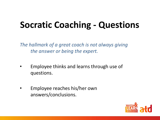## **Socratic Coaching - Questions**

*The hallmark of a great coach is not always giving the answer or being the expert.*

- Employee thinks and learns through use of questions.
- Employee reaches his/her own answers/conclusions.

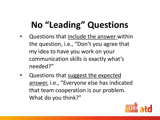## **No "Leading" Questions**

- Questions that include the answer within the question, i.e., "Don't you agree that my idea to have you work on your communication skills is exactly what's needed?"
- Questions that suggest the expected answer, i.e., "Everyone else has indicated that team cooperation is our problem. What do you think?"

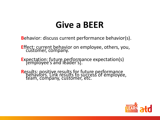## **Give a BEER**

**B**ehavior: discuss current performance behavior(s).

**E**ffect: current behavior on employee, others, you, customer, company.

**<sup>E</sup>**xpectation: future performance expectation(s) [employee's and leader's].

**Results: positive results for future performance<br>behaviors. Link results to success of employee,** team, company, customer, etc.

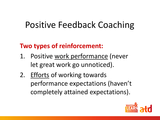## Positive Feedback Coaching

#### **Two types of reinforcement:**

- 1. Positive work performance (never let great work go unnoticed).
- 2. Efforts of working towards performance expectations (haven't completely attained expectations).

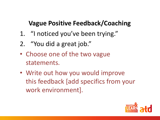#### **Vague Positive Feedback/Coaching**

- 1. "I noticed you've been trying."
- 2. "You did a great job."
- Choose one of the two vague statements.
- Write out how you would improve this feedback [add specifics from your work environment].

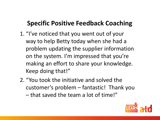#### **Specific Positive Feedback Coaching**

- 1. "I've noticed that you went out of your way to help Betty today when she had a problem updating the supplier information on the system. I'm impressed that you're making an effort to share your knowledge. Keep doing that!"
- 2. "You took the initiative and solved the customer's problem – fantastic! Thank you – that saved the team a lot of time!"

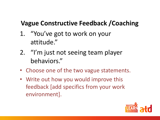#### **Vague Constructive Feedback /Coaching**

- 1. "You've got to work on your attitude."
- 2. "I'm just not seeing team player behaviors."
- Choose one of the two vague statements.
- Write out how you would improve this feedback [add specifics from your work environment].

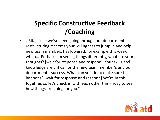#### **Specific Constructive Feedback /Coaching**

• ."Rita, since we've been going through our department restructuring it seems your willingness to jump in and help new team members has lowered, for example this week when… Perhaps I'm seeing things differently, what are your thoughts? [wait for response and respond] Your skills and knowledge are critical for the new team member's and our department's success. What can you do to make sure this happens? [wait for response and respond] We're in this together, so let's check in with each other this Friday to see how things are going for you."